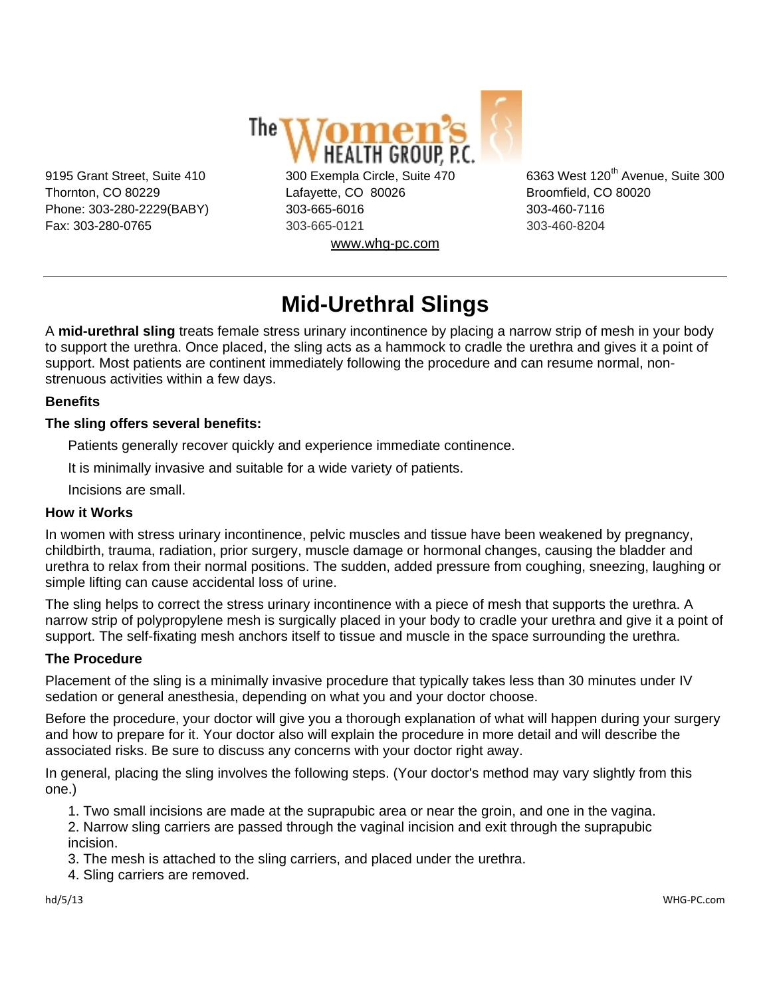

9195 Grant Street, Suite 410 300 Exempla Circle, Suite 470 6363 West 120<sup>th</sup> Avenue, Suite 300 Thornton, CO 80229 Lafayette, CO 80026 Broomfield, CO 80020 Phone: 303-280-2229(BABY) 303-665-6016 303-460-7116 Fax: 303-280-0765 303-665-0121 303-460-8204 www.whg-pc.com

# **Mid-Urethral Slings**

A **mid-urethral sling** treats female stress urinary incontinence by placing a narrow strip of mesh in your body to support the urethra. Once placed, the sling acts as a hammock to cradle the urethra and gives it a point of support. Most patients are continent immediately following the procedure and can resume normal, nonstrenuous activities within a few days.

## **Benefits**

## **The sling offers several benefits:**

Patients generally recover quickly and experience immediate continence.

It is minimally invasive and suitable for a wide variety of patients.

Incisions are small.

#### **How it Works**

In women with stress urinary incontinence, pelvic muscles and tissue have been weakened by pregnancy, childbirth, trauma, radiation, prior surgery, muscle damage or hormonal changes, causing the bladder and urethra to relax from their normal positions. The sudden, added pressure from coughing, sneezing, laughing or simple lifting can cause accidental loss of urine.

The sling helps to correct the stress urinary incontinence with a piece of mesh that supports the urethra. A narrow strip of polypropylene mesh is surgically placed in your body to cradle your urethra and give it a point of support. The self-fixating mesh anchors itself to tissue and muscle in the space surrounding the urethra.

## **The Procedure**

Placement of the sling is a minimally invasive procedure that typically takes less than 30 minutes under IV sedation or general anesthesia, depending on what you and your doctor choose.

Before the procedure, your doctor will give you a thorough explanation of what will happen during your surgery and how to prepare for it. Your doctor also will explain the procedure in more detail and will describe the associated risks. Be sure to discuss any concerns with your doctor right away.

In general, placing the sling involves the following steps. (Your doctor's method may vary slightly from this one.)

1. Two small incisions are made at the suprapubic area or near the groin, and one in the vagina.

2. Narrow sling carriers are passed through the vaginal incision and exit through the suprapubic incision.

3. The mesh is attached to the sling carriers, and placed under the urethra.

4. Sling carriers are removed.